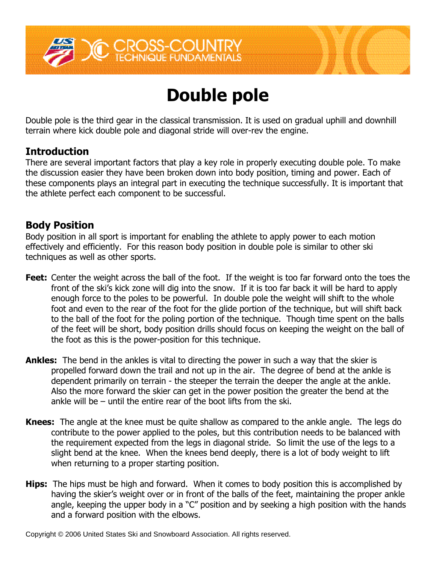

# **Double pole**

Double pole is the third gear in the classical transmission. It is used on gradual uphill and downhill terrain where kick double pole and diagonal stride will over-rev the engine.

## **Introduction**

There are several important factors that play a key role in properly executing double pole. To make the discussion easier they have been broken down into body position, timing and power. Each of these components plays an integral part in executing the technique successfully. It is important that the athlete perfect each component to be successful.

## **Body Position**

Body position in all sport is important for enabling the athlete to apply power to each motion effectively and efficiently. For this reason body position in double pole is similar to other ski techniques as well as other sports.

- **Feet:** Center the weight across the ball of the foot. If the weight is too far forward onto the toes the front of the ski's kick zone will dig into the snow. If it is too far back it will be hard to apply enough force to the poles to be powerful. In double pole the weight will shift to the whole foot and even to the rear of the foot for the glide portion of the technique, but will shift back to the ball of the foot for the poling portion of the technique. Though time spent on the balls of the feet will be short, body position drills should focus on keeping the weight on the ball of the foot as this is the power-position for this technique.
- **Ankles:** The bend in the ankles is vital to directing the power in such a way that the skier is propelled forward down the trail and not up in the air. The degree of bend at the ankle is dependent primarily on terrain - the steeper the terrain the deeper the angle at the ankle. Also the more forward the skier can get in the power position the greater the bend at the ankle will be  $-$  until the entire rear of the boot lifts from the ski.
- **Knees:** The angle at the knee must be quite shallow as compared to the ankle angle. The legs do contribute to the power applied to the poles, but this contribution needs to be balanced with the requirement expected from the legs in diagonal stride. So limit the use of the legs to a slight bend at the knee. When the knees bend deeply, there is a lot of body weight to lift when returning to a proper starting position.
- **Hips:** The hips must be high and forward. When it comes to body position this is accomplished by having the skier's weight over or in front of the balls of the feet, maintaining the proper ankle angle, keeping the upper body in a "C" position and by seeking a high position with the hands and a forward position with the elbows.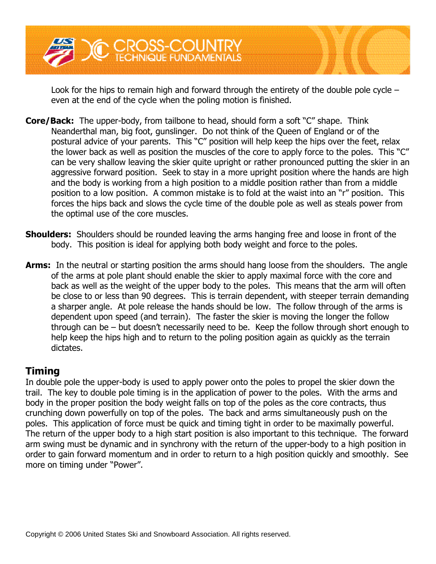

Look for the hips to remain high and forward through the entirety of the double pole cycle – even at the end of the cycle when the poling motion is finished.

- **Core/Back:** The upper-body, from tailbone to head, should form a soft "C" shape. Think Neanderthal man, big foot, gunslinger. Do not think of the Queen of England or of the postural advice of your parents. This "C" position will help keep the hips over the feet, relax the lower back as well as position the muscles of the core to apply force to the poles. This " $C$ " can be very shallow leaving the skier quite upright or rather pronounced putting the skier in an aggressive forward position. Seek to stay in a more upright position where the hands are high and the body is working from a high position to a middle position rather than from a middle position to a low position. A common mistake is to fold at the waist into an "r" position. This forces the hips back and slows the cycle time of the double pole as well as steals power from the optimal use of the core muscles.
- **Shoulders:** Shoulders should be rounded leaving the arms hanging free and loose in front of the body. This position is ideal for applying both body weight and force to the poles.
- **Arms:** In the neutral or starting position the arms should hang loose from the shoulders. The angle of the arms at pole plant should enable the skier to apply maximal force with the core and back as well as the weight of the upper body to the poles. This means that the arm will often be close to or less than 90 degrees. This is terrain dependent, with steeper terrain demanding a sharper angle. At pole release the hands should be low. The follow through of the arms is dependent upon speed (and terrain). The faster the skier is moving the longer the follow through can be  $-$  but doesn't necessarily need to be. Keep the follow through short enough to help keep the hips high and to return to the poling position again as quickly as the terrain dictates.

## **Timing**

In double pole the upper-body is used to apply power onto the poles to propel the skier down the trail. The key to double pole timing is in the application of power to the poles. With the arms and body in the proper position the body weight falls on top of the poles as the core contracts, thus crunching down powerfully on top of the poles. The back and arms simultaneously push on the poles. This application of force must be quick and timing tight in order to be maximally powerful. The return of the upper body to a high start position is also important to this technique. The forward arm swing must be dynamic and in synchrony with the return of the upper-body to a high position in order to gain forward momentum and in order to return to a high position quickly and smoothly. See more on timing under "Power".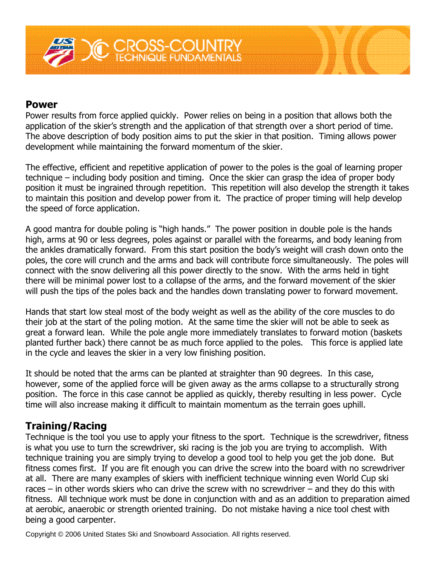#### **Power**

Power results from force applied quickly. Power relies on being in a position that allows both the application of the skier's strength and the application of that strength over a short period of time. The above description of body position aims to put the skier in that position. Timing allows power development while maintaining the forward momentum of the skier.

The effective, efficient and repetitive application of power to the poles is the goal of learning proper technique – including body position and timing. Once the skier can grasp the idea of proper body position it must be ingrained through repetition. This repetition will also develop the strength it takes to maintain this position and develop power from it. The practice of proper timing will help develop the speed of force application.

A good mantra for double poling is "high hands." The power position in double pole is the hands high, arms at 90 or less degrees, poles against or parallel with the forearms, and body leaning from the ankles dramatically forward. From this start position the body's weight will crash down onto the poles, the core will crunch and the arms and back will contribute force simultaneously. The poles will connect with the snow delivering all this power directly to the snow. With the arms held in tight there will be minimal power lost to a collapse of the arms, and the forward movement of the skier will push the tips of the poles back and the handles down translating power to forward movement.

Hands that start low steal most of the body weight as well as the ability of the core muscles to do their job at the start of the poling motion. At the same time the skier will not be able to seek as great a forward lean. While the pole angle more immediately translates to forward motion (baskets planted further back) there cannot be as much force applied to the poles. This force is applied late in the cycle and leaves the skier in a very low finishing position.

It should be noted that the arms can be planted at straighter than 90 degrees. In this case, however, some of the applied force will be given away as the arms collapse to a structurally strong position. The force in this case cannot be applied as quickly, thereby resulting in less power. Cycle time will also increase making it difficult to maintain momentum as the terrain goes uphill.

## **Training/Racing**

Technique is the tool you use to apply your fitness to the sport. Technique is the screwdriver, fitness is what you use to turn the screwdriver, ski racing is the job you are trying to accomplish. With technique training you are simply trying to develop a good tool to help you get the job done. But fitness comes first. If you are fit enough you can drive the screw into the board with no screwdriver at all. There are many examples of skiers with inefficient technique winning even World Cup ski races – in other words skiers who can drive the screw with no screwdriver – and they do this with fitness. All technique work must be done in conjunction with and as an addition to preparation aimed at aerobic, anaerobic or strength oriented training. Do not mistake having a nice tool chest with being a good carpenter.

Copyright © 2006 United States Ski and Snowboard Association. All rights reserved.